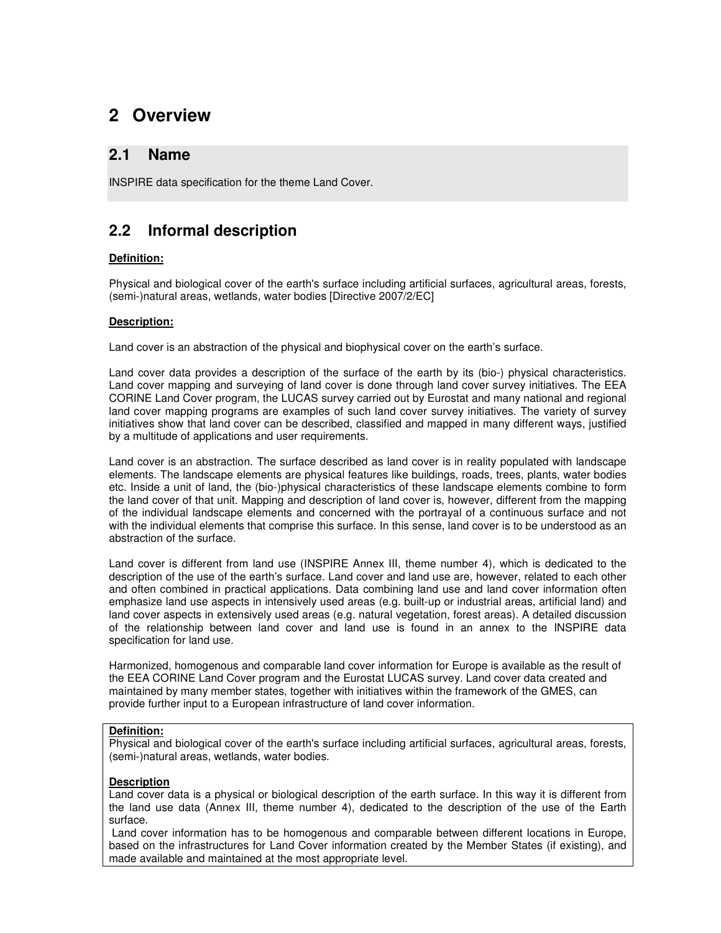# **2 Overview**

## **2.1 Name**

INSPIRE data specification for the theme Land Cover.

## **2.2 Informal description**

### **Definition:**

Physical and biological cover of the earth's surface including artificial surfaces, agricultural areas, forests, (semi-)natural areas, wetlands, water bodies [Directive 2007/2/EC]

### **Description:**

Land cover is an abstraction of the physical and biophysical cover on the earth's surface.

Land cover data provides a description of the surface of the earth by its (bio-) physical characteristics. Land cover mapping and surveying of land cover is done through land cover survey initiatives. The EEA CORINE Land Cover program, the LUCAS survey carried out by Eurostat and many national and regional land cover mapping programs are examples of such land cover survey initiatives. The variety of survey initiatives show that land cover can be described, classified and mapped in many different ways, justified by a multitude of applications and user requirements.

Land cover is an abstraction. The surface described as land cover is in reality populated with landscape elements. The landscape elements are physical features like buildings, roads, trees, plants, water bodies etc. Inside a unit of land, the (bio-)physical characteristics of these landscape elements combine to form the land cover of that unit. Mapping and description of land cover is, however, different from the mapping of the individual landscape elements and concerned with the portrayal of a continuous surface and not with the individual elements that comprise this surface. In this sense, land cover is to be understood as an abstraction of the surface.

Land cover is different from land use (INSPIRE Annex III, theme number 4), which is dedicated to the description of the use of the earth's surface. Land cover and land use are, however, related to each other and often combined in practical applications. Data combining land use and land cover information often emphasize land use aspects in intensively used areas (e.g. built-up or industrial areas, artificial land) and land cover aspects in extensively used areas (e.g. natural vegetation, forest areas). A detailed discussion of the relationship between land cover and land use is found in an annex to the INSPIRE data specification for land use.

Harmonized, homogenous and comparable land cover information for Europe is available as the result of the EEA CORINE Land Cover program and the Eurostat LUCAS survey. Land cover data created and maintained by many member states, together with initiatives within the framework of the GMES, can provide further input to a European infrastructure of land cover information.

### **Definition:**

Physical and biological cover of the earth's surface including artificial surfaces, agricultural areas, forests, (semi-)natural areas, wetlands, water bodies.

### **Description**

Land cover data is a physical or biological description of the earth surface. In this way it is different from the land use data (Annex III, theme number 4), dedicated to the description of the use of the Earth surface.

 Land cover information has to be homogenous and comparable between different locations in Europe, based on the infrastructures for Land Cover information created by the Member States (if existing), and made available and maintained at the most appropriate level.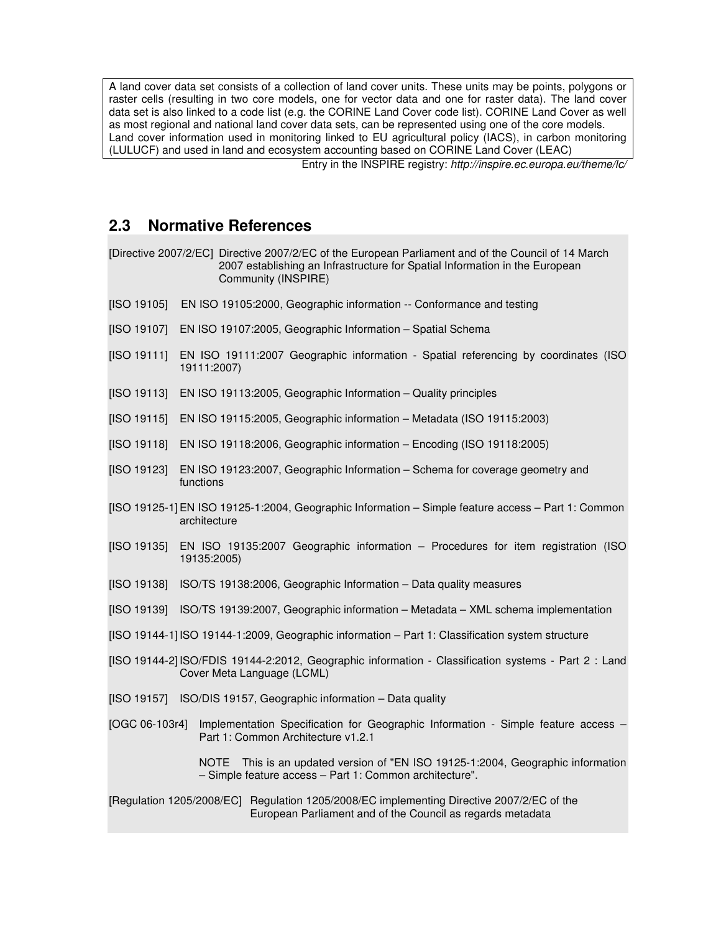A land cover data set consists of a collection of land cover units. These units may be points, polygons or raster cells (resulting in two core models, one for vector data and one for raster data). The land cover data set is also linked to a code list (e.g. the CORINE Land Cover code list). CORINE Land Cover as well as most regional and national land cover data sets, can be represented using one of the core models. Land cover information used in monitoring linked to EU agricultural policy (IACS), in carbon monitoring (LULUCF) and used in land and ecosystem accounting based on CORINE Land Cover (LEAC)

Entry in the INSPIRE registry: http://inspire.ec.europa.eu/theme/lc/

## **2.3 Normative References**

|                                                                                                                                                         | [Directive 2007/2/EC] Directive 2007/2/EC of the European Parliament and of the Council of 14 March<br>2007 establishing an Infrastructure for Spatial Information in the European<br>Community (INSPIRE) |  |  |
|---------------------------------------------------------------------------------------------------------------------------------------------------------|-----------------------------------------------------------------------------------------------------------------------------------------------------------------------------------------------------------|--|--|
| [ISO 19105]                                                                                                                                             | EN ISO 19105:2000, Geographic information -- Conformance and testing                                                                                                                                      |  |  |
| [ISO 19107]                                                                                                                                             | EN ISO 19107:2005, Geographic Information - Spatial Schema                                                                                                                                                |  |  |
| [ISO 19111]                                                                                                                                             | EN ISO 19111:2007 Geographic information - Spatial referencing by coordinates (ISO<br>19111:2007)                                                                                                         |  |  |
| [ISO 19113]                                                                                                                                             | EN ISO 19113:2005, Geographic Information - Quality principles                                                                                                                                            |  |  |
| [ISO 19115]                                                                                                                                             | EN ISO 19115:2005, Geographic information - Metadata (ISO 19115:2003)                                                                                                                                     |  |  |
| [ISO 19118]                                                                                                                                             | EN ISO 19118:2006, Geographic information - Encoding (ISO 19118:2005)                                                                                                                                     |  |  |
| [ISO 19123]                                                                                                                                             | EN ISO 19123:2007, Geographic Information - Schema for coverage geometry and<br>functions                                                                                                                 |  |  |
| [ISO 19125-1] EN ISO 19125-1:2004, Geographic Information - Simple feature access - Part 1: Common<br>architecture                                      |                                                                                                                                                                                                           |  |  |
| [ISO 19135]                                                                                                                                             | EN ISO 19135:2007 Geographic information - Procedures for item registration (ISO<br>19135:2005)                                                                                                           |  |  |
| [ISO 19138]                                                                                                                                             | ISO/TS 19138:2006, Geographic Information - Data quality measures                                                                                                                                         |  |  |
| [ISO 19139]                                                                                                                                             | ISO/TS 19139:2007, Geographic information - Metadata - XML schema implementation                                                                                                                          |  |  |
| [ISO 19144-1] ISO 19144-1:2009, Geographic information - Part 1: Classification system structure                                                        |                                                                                                                                                                                                           |  |  |
|                                                                                                                                                         | [ISO 19144-2] ISO/FDIS 19144-2:2012, Geographic information - Classification systems - Part 2 : Land<br>Cover Meta Language (LCML)                                                                        |  |  |
| [ISO 19157]                                                                                                                                             | ISO/DIS 19157, Geographic information - Data quality                                                                                                                                                      |  |  |
| [OGC 06-103r4]                                                                                                                                          | Implementation Specification for Geographic Information - Simple feature access -<br>Part 1: Common Architecture v1.2.1                                                                                   |  |  |
|                                                                                                                                                         | NOTE<br>This is an updated version of "EN ISO 19125-1:2004, Geographic information<br>- Simple feature access - Part 1: Common architecture".                                                             |  |  |
| [Regulation 1205/2008/EC] Regulation 1205/2008/EC implementing Directive 2007/2/EC of the<br>European Parliament and of the Council as regards metadata |                                                                                                                                                                                                           |  |  |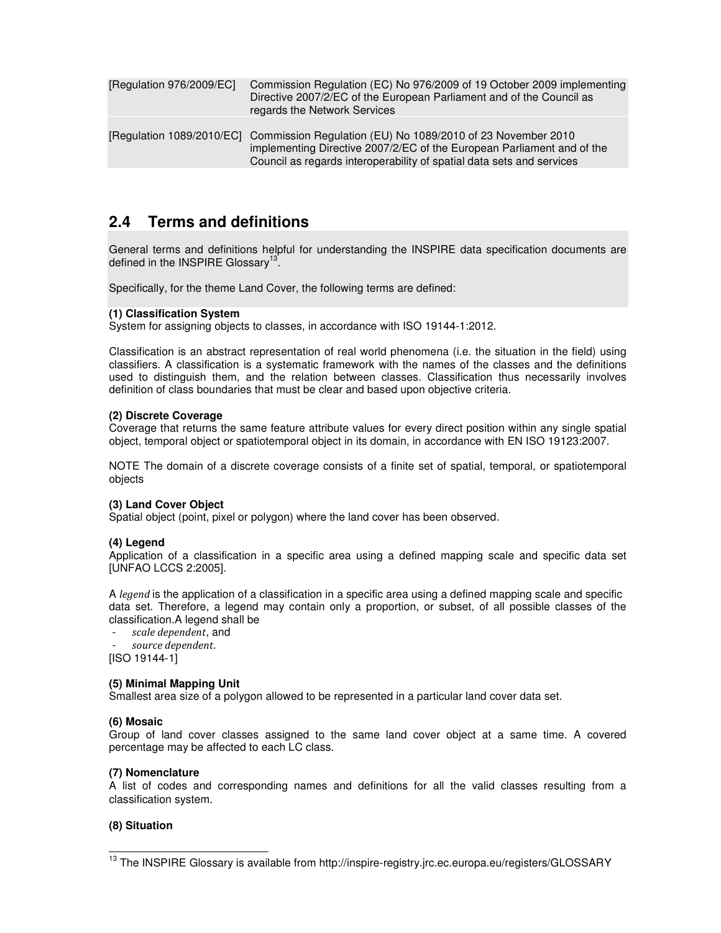| [Regulation 976/2009/EC] | Commission Regulation (EC) No 976/2009 of 19 October 2009 implementing<br>Directive 2007/2/EC of the European Parliament and of the Council as<br>regards the Network Services                                                           |
|--------------------------|------------------------------------------------------------------------------------------------------------------------------------------------------------------------------------------------------------------------------------------|
|                          | [Regulation 1089/2010/EC] Commission Regulation (EU) No 1089/2010 of 23 November 2010<br>implementing Directive 2007/2/EC of the European Parliament and of the<br>Council as regards interoperability of spatial data sets and services |

## **2.4 Terms and definitions**

General terms and definitions helpful for understanding the INSPIRE data specification documents are defined in the INSPIRE Glossary<sup>13</sup>.

Specifically, for the theme Land Cover, the following terms are defined:

### **(1) Classification System**

System for assigning objects to classes, in accordance with ISO 19144-1:2012.

Classification is an abstract representation of real world phenomena (i.e. the situation in the field) using classifiers. A classification is a systematic framework with the names of the classes and the definitions used to distinguish them, and the relation between classes. Classification thus necessarily involves definition of class boundaries that must be clear and based upon objective criteria.

#### **(2) Discrete Coverage**

Coverage that returns the same feature attribute values for every direct position within any single spatial object, temporal object or spatiotemporal object in its domain, in accordance with EN ISO 19123:2007.

NOTE The domain of a discrete coverage consists of a finite set of spatial, temporal, or spatiotemporal objects

### **(3) Land Cover Object**

Spatial object (point, pixel or polygon) where the land cover has been observed.

#### **(4) Legend**

Application of a classification in a specific area using a defined mapping scale and specific data set [UNFAO LCCS 2:2005].

A legend is the application of a classification in a specific area using a defined mapping scale and specific data set. Therefore, a legend may contain only a proportion, or subset, of all possible classes of the classification.A legend shall be

scale dependent, and source dependent.

[ISO 19144-1]

#### **(5) Minimal Mapping Unit**

Smallest area size of a polygon allowed to be represented in a particular land cover data set.

#### **(6) Mosaic**

Group of land cover classes assigned to the same land cover object at a same time. A covered percentage may be affected to each LC class.

#### **(7) Nomenclature**

A list of codes and corresponding names and definitions for all the valid classes resulting from a classification system.

#### **(8) Situation**

 $\overline{\phantom{a}}$ 

<sup>&</sup>lt;sup>13</sup> The INSPIRE Glossary is available from http://inspire-registry.jrc.ec.europa.eu/registers/GLOSSARY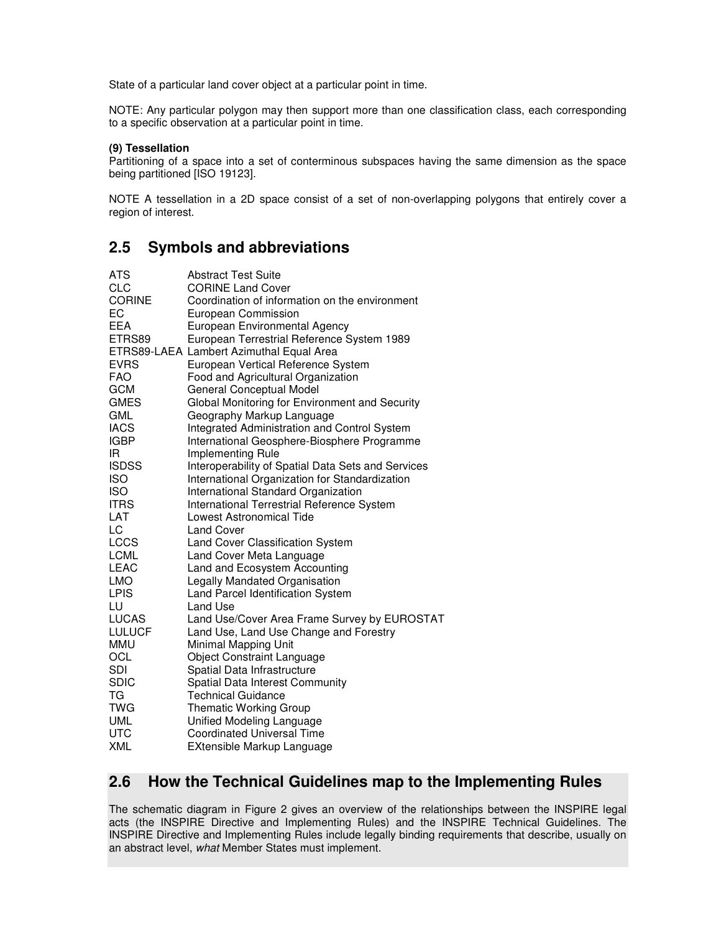State of a particular land cover object at a particular point in time.

NOTE: Any particular polygon may then support more than one classification class, each corresponding to a specific observation at a particular point in time.

#### **(9) Tessellation**

Partitioning of a space into a set of conterminous subspaces having the same dimension as the space being partitioned [ISO 19123].

NOTE A tessellation in a 2D space consist of a set of non-overlapping polygons that entirely cover a region of interest.

## **2.5 Symbols and abbreviations**

| <b>ATS</b>    | <b>Abstract Test Suite</b>                          |
|---------------|-----------------------------------------------------|
| <b>CLC</b>    | <b>CORINE Land Cover</b>                            |
| <b>CORINE</b> | Coordination of information on the environment      |
| EC            | European Commission                                 |
| <b>EEA</b>    | European Environmental Agency                       |
| ETRS89        | European Terrestrial Reference System 1989          |
|               | ETRS89-LAEA Lambert Azimuthal Equal Area            |
| <b>EVRS</b>   | European Vertical Reference System                  |
| <b>FAO</b>    | Food and Agricultural Organization                  |
| <b>GCM</b>    | General Conceptual Model                            |
| <b>GMES</b>   | Global Monitoring for Environment and Security      |
| GML           | Geography Markup Language                           |
| <b>IACS</b>   | <b>Integrated Administration and Control System</b> |
| <b>IGBP</b>   | International Geosphere-Biosphere Programme         |
| IR.           | Implementing Rule                                   |
| <b>ISDSS</b>  | Interoperability of Spatial Data Sets and Services  |
| <b>ISO</b>    | International Organization for Standardization      |
| <b>ISO</b>    | International Standard Organization                 |
| <b>ITRS</b>   | International Terrestrial Reference System          |
| LAT           | Lowest Astronomical Tide                            |
| LC            | <b>Land Cover</b>                                   |
| <b>LCCS</b>   | Land Cover Classification System                    |
| <b>LCML</b>   | Land Cover Meta Language                            |
| LEAC          | Land and Ecosystem Accounting                       |
| <b>LMO</b>    | Legally Mandated Organisation                       |
| <b>LPIS</b>   | Land Parcel Identification System                   |
| LU            | Land Use                                            |
| <b>LUCAS</b>  | Land Use/Cover Area Frame Survey by EUROSTAT        |
| <b>LULUCF</b> | Land Use, Land Use Change and Forestry              |
| <b>MMU</b>    | Minimal Mapping Unit                                |
| <b>OCL</b>    | <b>Object Constraint Language</b>                   |
| <b>SDI</b>    | Spatial Data Infrastructure                         |
| <b>SDIC</b>   | Spatial Data Interest Community                     |
| TG            | <b>Technical Guidance</b>                           |
| <b>TWG</b>    | <b>Thematic Working Group</b>                       |
| <b>UML</b>    | Unified Modeling Language                           |
| <b>UTC</b>    | <b>Coordinated Universal Time</b>                   |
| <b>XML</b>    | EXtensible Markup Language                          |

## **2.6 How the Technical Guidelines map to the Implementing Rules**

The schematic diagram in Figure 2 gives an overview of the relationships between the INSPIRE legal acts (the INSPIRE Directive and Implementing Rules) and the INSPIRE Technical Guidelines. The INSPIRE Directive and Implementing Rules include legally binding requirements that describe, usually on an abstract level, what Member States must implement.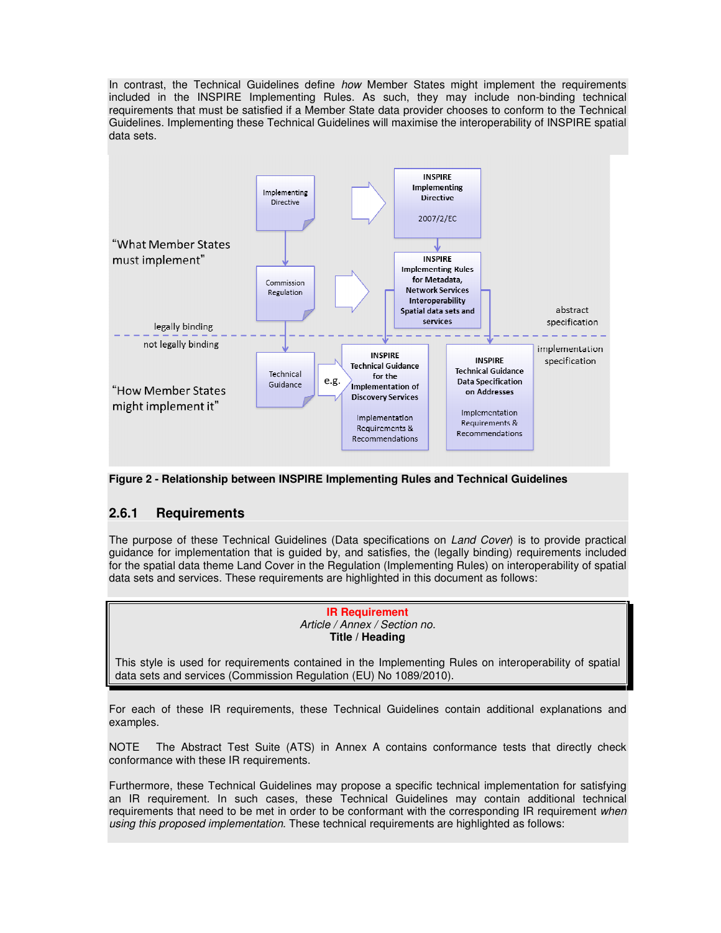In contrast, the Technical Guidelines define how Member States might implement the requirements included in the INSPIRE Implementing Rules. As such, they may include non-binding technical requirements that must be satisfied if a Member State data provider chooses to conform to the Technical Guidelines. Implementing these Technical Guidelines will maximise the interoperability of INSPIRE spatial data sets.



**Figure 2 - Relationship between INSPIRE Implementing Rules and Technical Guidelines** 

## **2.6.1 Requirements**

The purpose of these Technical Guidelines (Data specifications on Land Cover) is to provide practical guidance for implementation that is guided by, and satisfies, the (legally binding) requirements included for the spatial data theme Land Cover in the Regulation (Implementing Rules) on interoperability of spatial data sets and services. These requirements are highlighted in this document as follows:

> **IR Requirement**  Article / Annex / Section no. **Title / Heading**

This style is used for requirements contained in the Implementing Rules on interoperability of spatial data sets and services (Commission Regulation (EU) No 1089/2010).

For each of these IR requirements, these Technical Guidelines contain additional explanations and examples.

NOTE The Abstract Test Suite (ATS) in Annex A contains conformance tests that directly check conformance with these IR requirements.

Furthermore, these Technical Guidelines may propose a specific technical implementation for satisfying an IR requirement. In such cases, these Technical Guidelines may contain additional technical requirements that need to be met in order to be conformant with the corresponding IR requirement when using this proposed implementation. These technical requirements are highlighted as follows: